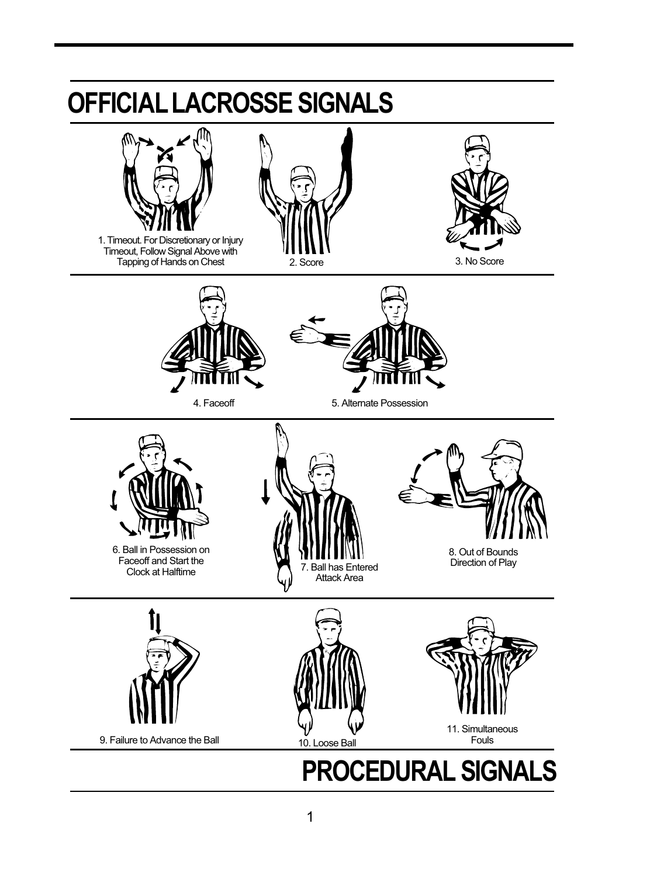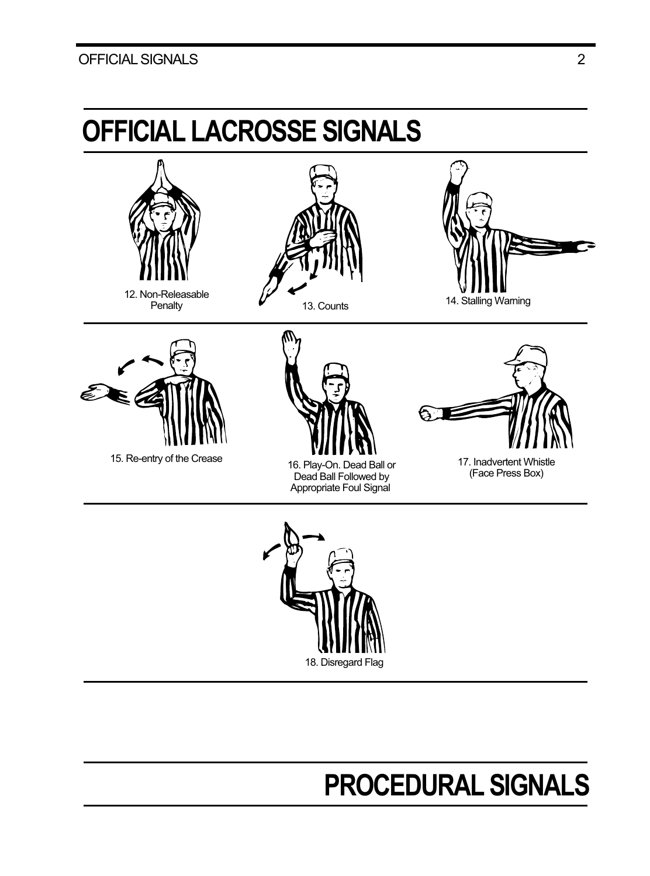### OFFICIAL SIGNALS 2





### **PROCEDURAL SIGNALS**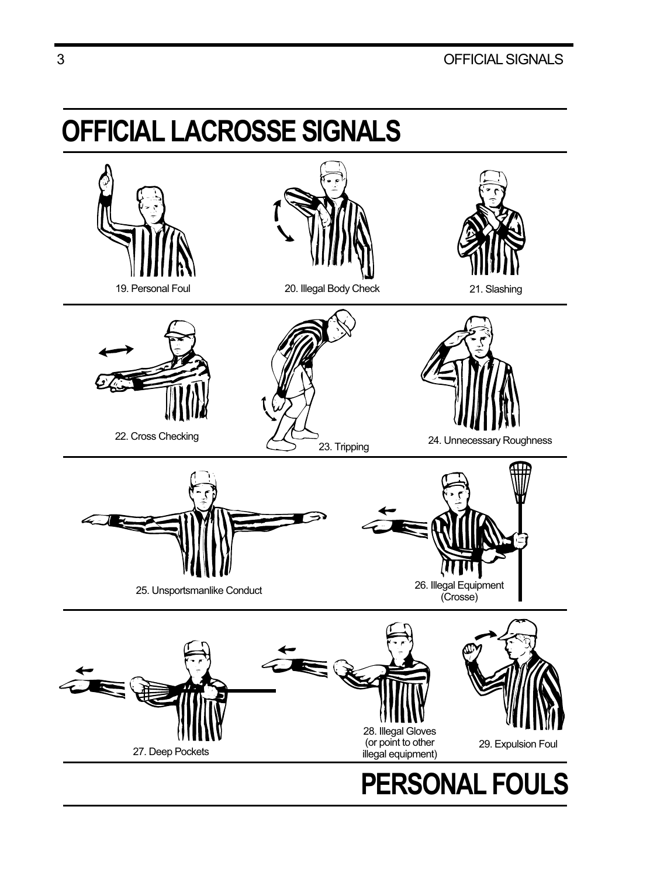# **OFFICIAL LACROSSE SIGNALS**